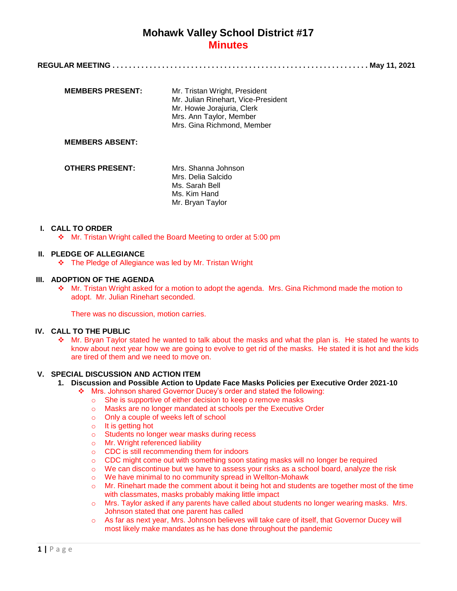|--|--|--|

| <b>MEMBERS PRESENT:</b> | Mr. Tristan Wright, President<br>Mr. Julian Rinehart, Vice-President<br>Mr. Howie Jorajuria, Clerk<br>Mrs. Ann Taylor, Member<br>Mrs. Gina Richmond, Member |
|-------------------------|-------------------------------------------------------------------------------------------------------------------------------------------------------------|
| <b>MEMBERS ABSENT:</b>  |                                                                                                                                                             |
| <b>OTHERS PRESENT:</b>  | Mrs. Shanna Johnson<br>Mrs. Delia Salcido<br>Ms. Sarah Bell<br>Ms. Kim Hand<br>Mr. Bryan Taylor                                                             |

## **I. CALL TO ORDER**

Mr. Tristan Wright called the Board Meeting to order at 5:00 pm

## **II. PLEDGE OF ALLEGIANCE**

The Pledge of Allegiance was led by Mr. Tristan Wright

## **III. ADOPTION OF THE AGENDA**

 Mr. Tristan Wright asked for a motion to adopt the agenda. Mrs. Gina Richmond made the motion to adopt. Mr. Julian Rinehart seconded.

There was no discussion, motion carries.

### **IV. CALL TO THE PUBLIC**

 $\div$  Mr. Bryan Taylor stated he wanted to talk about the masks and what the plan is. He stated he wants to know about next year how we are going to evolve to get rid of the masks. He stated it is hot and the kids are tired of them and we need to move on.

## **V. SPECIAL DISCUSSION AND ACTION ITEM**

- **1. Discussion and Possible Action to Update Face Masks Policies per Executive Order 2021-10**
	- Mrs. Johnson shared Governor Ducey's order and stated the following:
		- o She is supportive of either decision to keep o remove masks
		- o Masks are no longer mandated at schools per the Executive Order
		- o Only a couple of weeks left of school
		- o It is getting hot
		- o Students no longer wear masks during recess
		- o Mr. Wright referenced liability
		- o CDC is still recommending them for indoors
		- o CDC might come out with something soon stating masks will no longer be required
		- o We can discontinue but we have to assess your risks as a school board, analyze the risk
		- o We have minimal to no community spread in Wellton-Mohawk
		- $\circ$  Mr. Rinehart made the comment about it being hot and students are together most of the time with classmates, masks probably making little impact
		- o Mrs. Taylor asked if any parents have called about students no longer wearing masks. Mrs. Johnson stated that one parent has called
		- o As far as next year, Mrs. Johnson believes will take care of itself, that Governor Ducey will most likely make mandates as he has done throughout the pandemic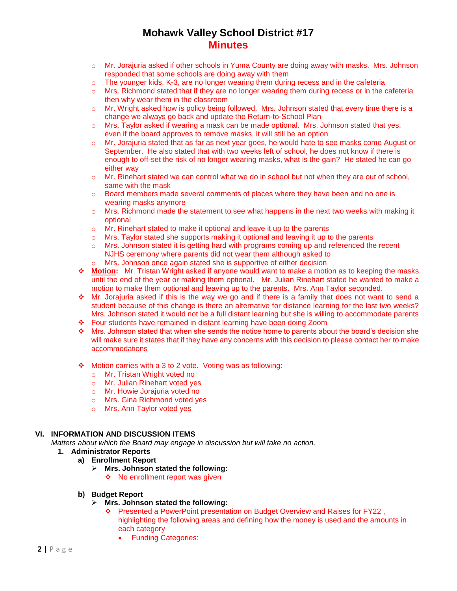- o Mr. Jorajuria asked if other schools in Yuma County are doing away with masks. Mrs. Johnson responded that some schools are doing away with them
- o The younger kids, K-3, are no longer wearing them during recess and in the cafeteria
- $\circ$  Mrs. Richmond stated that if they are no longer wearing them during recess or in the cafeteria then why wear them in the classroom
- o Mr. Wright asked how is policy being followed. Mrs. Johnson stated that every time there is a change we always go back and update the Return-to-School Plan
- $\circ$  Mrs. Taylor asked if wearing a mask can be made optional. Mrs. Johnson stated that yes, even if the board approves to remove masks, it will still be an option
- o Mr. Jorajuria stated that as far as next year goes, he would hate to see masks come August or September. He also stated that with two weeks left of school, he does not know if there is enough to off-set the risk of no longer wearing masks, what is the gain? He stated he can go either way
- o Mr. Rinehart stated we can control what we do in school but not when they are out of school, same with the mask
- $\circ$  Board members made several comments of places where they have been and no one is wearing masks anymore
- $\circ$  Mrs. Richmond made the statement to see what happens in the next two weeks with making it optional
- o Mr. Rinehart stated to make it optional and leave it up to the parents
- $\circ$  Mrs. Taylor stated she supports making it optional and leaving it up to the parents
- o Mrs. Johnson stated it is getting hard with programs coming up and referenced the recent NJHS ceremony where parents did not wear them although asked to
- o Mrs. Johnson once again stated she is supportive of either decision
- **Motion:** Mr. Tristan Wright asked if anyone would want to make a motion as to keeping the masks until the end of the year or making them optional. Mr. Julian Rinehart stated he wanted to make a motion to make them optional and leaving up to the parents. Mrs. Ann Taylor seconded.
- Mr. Jorajuria asked if this is the way we go and if there is a family that does not want to send a student because of this change is there an alternative for distance learning for the last two weeks? Mrs. Johnson stated it would not be a full distant learning but she is willing to accommodate parents
- Four students have remained in distant learning have been doing Zoom
- $\cdot \cdot$  Mrs. Johnson stated that when she sends the notice home to parents about the board's decision she will make sure it states that if they have any concerns with this decision to please contact her to make accommodations
- Motion carries with a 3 to 2 vote. Voting was as following:
	- o Mr. Tristan Wright voted no
	- o Mr. Julian Rinehart voted yes
	- o Mr. Howie Jorajuria voted no
	- o Mrs. Gina Richmond voted yes
	- o Mrs. Ann Taylor voted yes

## **VI. INFORMATION AND DISCUSSION ITEMS**

- *Matters about which the Board may engage in discussion but will take no action.*
	- **1. Administrator Reports**
		- **a) Enrollment Report**
			- **Mrs. Johnson stated the following:** ❖ No enrollment report was given
		- **b) Budget Report**
			- **Mrs. Johnson stated the following:**
				- Presented a PowerPoint presentation on Budget Overview and Raises for FY22 , highlighting the following areas and defining how the money is used and the amounts in each category
					- Funding Categories: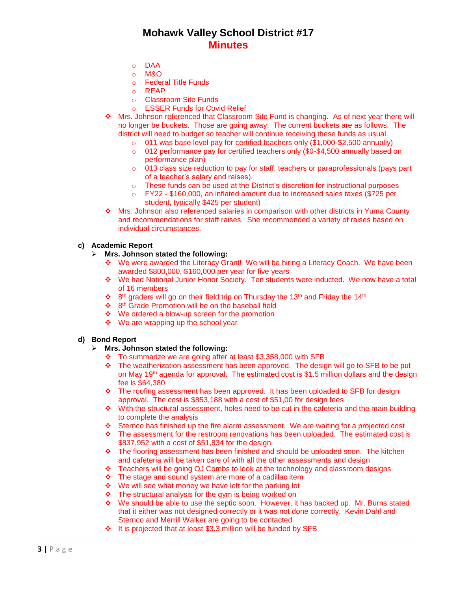- o DAA
- o M&O
- o Federal Title Funds
- o REAP
- o Classroom Site Funds
- o ESSER Funds for Covid Relief
- Mrs. Johnson referenced that Classroom Site Fund is changing. As of next year there will no longer be buckets. Those are going away. The current buckets are as follows. The district will need to budget so teacher will continue receiving these funds as usual.
	- o 011 was base level pay for certified teachers only (\$1,000-\$2,500 annually)
	- o 012 performance pay for certified teachers only (\$0-\$4,500 annually based on performance plan)
	- o 013 class size reduction to pay for staff, teachers or paraprofessionals (pays part of a teacher's salary and raises).
	- $\circ$  These funds can be used at the District's discretion for instructional purposes
	- o FY22 \$160,000, an inflated amount due to increased sales taxes (\$725 per student, typically \$425 per student)
- Mrs. Johnson also referenced salaries in comparison with other districts in Yuma County and recommendations for staff raises. She recommended a variety of raises based on individual circumstances.

## **c) Academic Report**

- **Mrs. Johnson stated the following:**
	- We were awarded the Literacy Grant! We will be hiring a Literacy Coach. We have been awarded \$800,000, \$160,000 per year for five years
	- We had National Junior Honor Society. Ten students were inducted. We now have a total of 16 members
	- $\cdot$  8<sup>th</sup> graders will go on their field trip on Thursday the 13<sup>th</sup> and Friday the 14<sup>th</sup>
	- ❖ 8<sup>th</sup> Grade Promotion will be on the baseball field
	- ❖ We ordered a blow-up screen for the promotion
	- $\div$  We are wrapping up the school year

### **d) Bond Report**

- **Mrs. Johnson stated the following:**
	- \* To summarize we are going after at least \$3,358,000 with SFB
	- \* The weatherization assessment has been approved. The design will go to SFB to be put on May 19th agenda for approval. The estimated cost is \$1.5 million dollars and the design fee is \$64,380
	- $\div$  The roofing assessment has been approved. It has been uploaded to SFB for design approval. The cost is \$853,188 with a cost of \$51,00 for design fees
	- $\div$  With the structural assessment, holes need to be cut in the cafeteria and the main building to complete the analysis
	- Sternco has finished up the fire alarm assessment. We are waiting for a projected cost
	- $\div$  The assessment for the restroom renovations has been uploaded. The estimated cost is \$837,952 with a cost of \$51,834 for the design
	- $\div$  The flooring assessment has been finished and should be uploaded soon. The kitchen and cafeteria will be taken care of with all the other assessments and design
	- Teachers will be going OJ Combs to look at the technology and classroom designs
	- The stage and sound system are more of a cadillac item
	- $\div$  We will see what money we have left for the parking lot
	- $\cdot \cdot$  The structural analysis for the gym is being worked on
	- We should be able to use the septic soon. However, it has backed up. Mr. Burns stated that it either was not designed correctly or it was not done correctly. Kevin Dahl and Sternco and Merrill Walker are going to be contacted
	- It is projected that at least \$3.3 million will be funded by SFB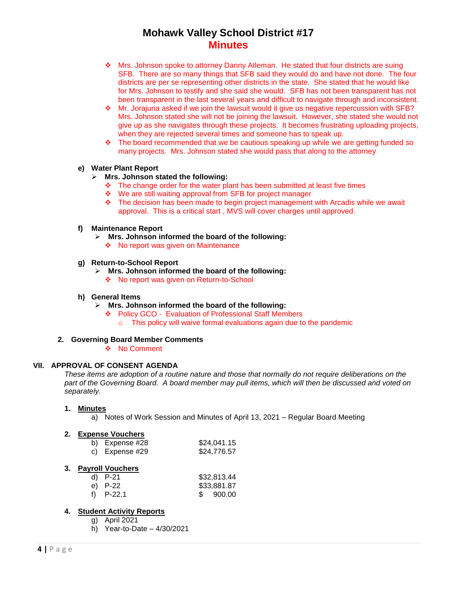- Mrs. Johnson spoke to attorney Danny Atleman. He stated that four districts are suing SFB. There are so many things that SFB said they would do and have not done. The four districts are per se representing other districts in the state. She stated that he would like for Mrs. Johnson to testify and she said she would. SFB has not been transparent has not been transparent in the last several years and difficult to navigate through and inconsistent.
- Mr. Jorajuria asked if we join the lawsuit would it give us negative repercussion with SFB? Mrs. Johnson stated she will not be joining the lawsuit. However, she stated she would not give up as she navigates through these projects. It becomes frustrating uploading projects, when they are rejected several times and someone has to speak up.
- $\div$  The board recommended that we be cautious speaking up while we are getting funded so many projects. Mrs. Johnson stated she would pass that along to the attorney

## **e) Water Plant Report**

## **Mrs. Johnson stated the following:**

- $\cdot \cdot$  The change order for the water plant has been submitted at least five times
- We are still waiting approval from SFB for project manager
- $\bullet$  The decision has been made to begin project management with Arcadis while we await approval. This is a critical start , MVS will cover charges until approved.

### **f) Maintenance Report**

- **Mrs. Johnson informed the board of the following:**
	- ◆ No report was given on Maintenance

## **g) Return-to-School Report**

- **Mrs. Johnson informed the board of the following:**
	- ❖ No report was given on Return-to-School

### **h) General Items**

- **Mrs. Johnson informed the board of the following:**
	- Policy GCO Evaluation of Professional Staff Members
		- o This policy will waive formal evaluations again due to the pandemic

### **2. Governing Board Member Comments**

❖ No Comment

## **VII. APPROVAL OF CONSENT AGENDA**

*These items are adoption of a routine nature and those that normally do not require deliberations on the part of the Governing Board. A board member may pull items, which will then be discussed and voted on separately.*

## **1. Minutes**

a) Notes of Work Session and Minutes of April 13, 2021 – Regular Board Meeting

## **2. Expense Vouchers**

| b) Expense #28 | \$24,041.15 |
|----------------|-------------|
| c) Expense #29 | \$24,776.57 |

### **3. Payroll Vouchers**

| d) $P-21$   | \$32,813.44 |
|-------------|-------------|
| e) P-22     | \$33,881.87 |
| f) $P-22.1$ | \$ 900.00   |

## **4. Student Activity Reports**

- g) April 2021
- h) Year-to-Date 4/30/2021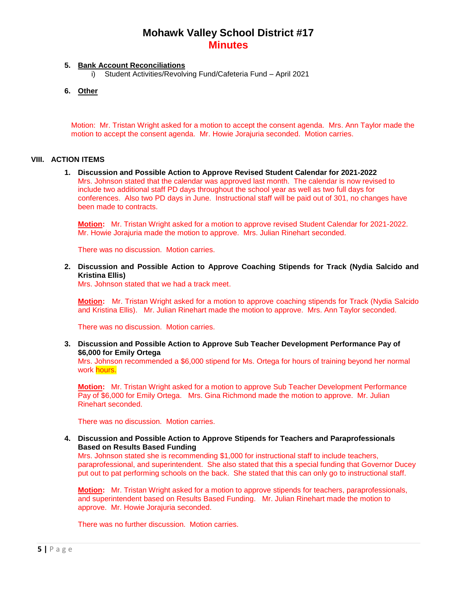## **5. Bank Account Reconciliations**

- i) Student Activities/Revolving Fund/Cafeteria Fund April 2021
- **6. Other**

Motion: Mr. Tristan Wright asked for a motion to accept the consent agenda. Mrs. Ann Taylor made the motion to accept the consent agenda. Mr. Howie Jorajuria seconded. Motion carries.

## **VIII. ACTION ITEMS**

**1. Discussion and Possible Action to Approve Revised Student Calendar for 2021-2022** Mrs. Johnson stated that the calendar was approved last month. The calendar is now revised to include two additional staff PD days throughout the school year as well as two full days for conferences. Also two PD days in June. Instructional staff will be paid out of 301, no changes have been made to contracts.

**Motion:** Mr. Tristan Wright asked for a motion to approve revised Student Calendar for 2021-2022. Mr. Howie Jorajuria made the motion to approve. Mrs. Julian Rinehart seconded.

There was no discussion. Motion carries.

### **2. Discussion and Possible Action to Approve Coaching Stipends for Track (Nydia Salcido and Kristina Ellis)**

Mrs. Johnson stated that we had a track meet.

**Motion:** Mr. Tristan Wright asked for a motion to approve coaching stipends for Track (Nydia Salcido and Kristina Ellis). Mr. Julian Rinehart made the motion to approve. Mrs. Ann Taylor seconded.

There was no discussion. Motion carries.

**3. Discussion and Possible Action to Approve Sub Teacher Development Performance Pay of \$6,000 for Emily Ortega**

Mrs. Johnson recommended a \$6,000 stipend for Ms. Ortega for hours of training beyond her normal work hours.

**Motion:** Mr. Tristan Wright asked for a motion to approve Sub Teacher Development Performance Pay of \$6,000 for Emily Ortega. Mrs. Gina Richmond made the motion to approve. Mr. Julian Rinehart seconded.

There was no discussion. Motion carries.

**4. Discussion and Possible Action to Approve Stipends for Teachers and Paraprofessionals Based on Results Based Funding**

Mrs. Johnson stated she is recommending \$1,000 for instructional staff to include teachers, paraprofessional, and superintendent. She also stated that this a special funding that Governor Ducey put out to pat performing schools on the back. She stated that this can only go to instructional staff.

**Motion:** Mr. Tristan Wright asked for a motion to approve stipends for teachers, paraprofessionals, and superintendent based on Results Based Funding. Mr. Julian Rinehart made the motion to approve. Mr. Howie Jorajuria seconded.

There was no further discussion. Motion carries.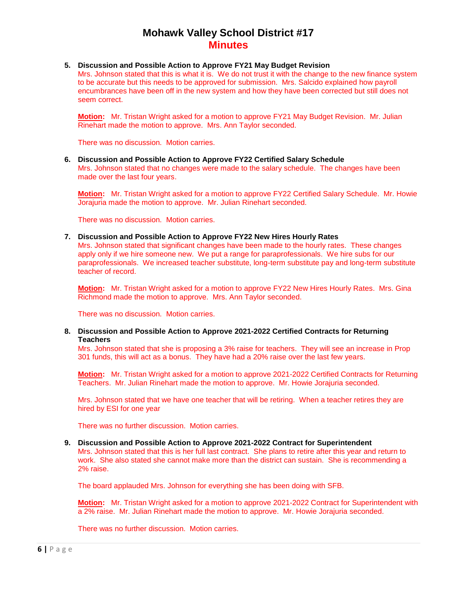### **5. Discussion and Possible Action to Approve FY21 May Budget Revision**

Mrs. Johnson stated that this is what it is. We do not trust it with the change to the new finance system to be accurate but this needs to be approved for submission. Mrs. Salcido explained how payroll encumbrances have been off in the new system and how they have been corrected but still does not seem correct.

**Motion:** Mr. Tristan Wright asked for a motion to approve FY21 May Budget Revision. Mr. Julian Rinehart made the motion to approve. Mrs. Ann Taylor seconded.

There was no discussion. Motion carries.

### **6. Discussion and Possible Action to Approve FY22 Certified Salary Schedule**

Mrs. Johnson stated that no changes were made to the salary schedule. The changes have been made over the last four years.

**Motion:** Mr. Tristan Wright asked for a motion to approve FY22 Certified Salary Schedule. Mr. Howie Jorajuria made the motion to approve. Mr. Julian Rinehart seconded.

There was no discussion. Motion carries.

#### **7. Discussion and Possible Action to Approve FY22 New Hires Hourly Rates**

Mrs. Johnson stated that significant changes have been made to the hourly rates. These changes apply only if we hire someone new. We put a range for paraprofessionals. We hire subs for our paraprofessionals. We increased teacher substitute, long-term substitute pay and long-term substitute teacher of record.

**Motion:** Mr. Tristan Wright asked for a motion to approve FY22 New Hires Hourly Rates. Mrs. Gina Richmond made the motion to approve. Mrs. Ann Taylor seconded.

There was no discussion. Motion carries.

**8. Discussion and Possible Action to Approve 2021-2022 Certified Contracts for Returning Teachers**

Mrs. Johnson stated that she is proposing a 3% raise for teachers. They will see an increase in Prop 301 funds, this will act as a bonus. They have had a 20% raise over the last few years.

**Motion:** Mr. Tristan Wright asked for a motion to approve 2021-2022 Certified Contracts for Returning Teachers. Mr. Julian Rinehart made the motion to approve. Mr. Howie Jorajuria seconded.

Mrs. Johnson stated that we have one teacher that will be retiring. When a teacher retires they are hired by ESI for one year

There was no further discussion. Motion carries.

#### **9. Discussion and Possible Action to Approve 2021-2022 Contract for Superintendent**

Mrs. Johnson stated that this is her full last contract. She plans to retire after this year and return to work. She also stated she cannot make more than the district can sustain. She is recommending a 2% raise.

The board applauded Mrs. Johnson for everything she has been doing with SFB.

**Motion:** Mr. Tristan Wright asked for a motion to approve 2021-2022 Contract for Superintendent with a 2% raise. Mr. Julian Rinehart made the motion to approve. Mr. Howie Jorajuria seconded.

There was no further discussion. Motion carries.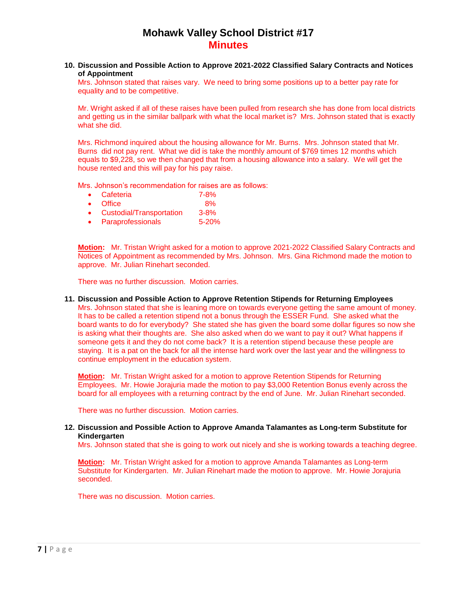### **10. Discussion and Possible Action to Approve 2021-2022 Classified Salary Contracts and Notices of Appointment**

Mrs. Johnson stated that raises vary. We need to bring some positions up to a better pay rate for equality and to be competitive.

Mr. Wright asked if all of these raises have been pulled from research she has done from local districts and getting us in the similar ballpark with what the local market is? Mrs. Johnson stated that is exactly what she did.

Mrs. Richmond inquired about the housing allowance for Mr. Burns. Mrs. Johnson stated that Mr. Burns did not pay rent. What we did is take the monthly amount of \$769 times 12 months which equals to \$9,228, so we then changed that from a housing allowance into a salary. We will get the house rented and this will pay for his pay raise.

Mrs. Johnson's recommendation for raises are as follows:

- Cafeteria 7-8%
- Office 8%
- Custodial/Transportation 3-8%
- Paraprofessionals 5-20%

**Motion:** Mr. Tristan Wright asked for a motion to approve 2021-2022 Classified Salary Contracts and Notices of Appointment as recommended by Mrs. Johnson. Mrs. Gina Richmond made the motion to approve. Mr. Julian Rinehart seconded.

There was no further discussion. Motion carries.

**11. Discussion and Possible Action to Approve Retention Stipends for Returning Employees** Mrs. Johnson stated that she is leaning more on towards everyone getting the same amount of money. It has to be called a retention stipend not a bonus through the ESSER Fund. She asked what the board wants to do for everybody? She stated she has given the board some dollar figures so now she is asking what their thoughts are. She also asked when do we want to pay it out? What happens if someone gets it and they do not come back? It is a retention stipend because these people are staying. It is a pat on the back for all the intense hard work over the last year and the willingness to continue employment in the education system.

**Motion:** Mr. Tristan Wright asked for a motion to approve Retention Stipends for Returning Employees. Mr. Howie Jorajuria made the motion to pay \$3,000 Retention Bonus evenly across the board for all employees with a returning contract by the end of June. Mr. Julian Rinehart seconded.

There was no further discussion. Motion carries.

#### **12. Discussion and Possible Action to Approve Amanda Talamantes as Long-term Substitute for Kindergarten**

Mrs. Johnson stated that she is going to work out nicely and she is working towards a teaching degree.

**Motion:** Mr. Tristan Wright asked for a motion to approve Amanda Talamantes as Long-term Substitute for Kindergarten. Mr. Julian Rinehart made the motion to approve. Mr. Howie Jorajuria seconded.

There was no discussion. Motion carries.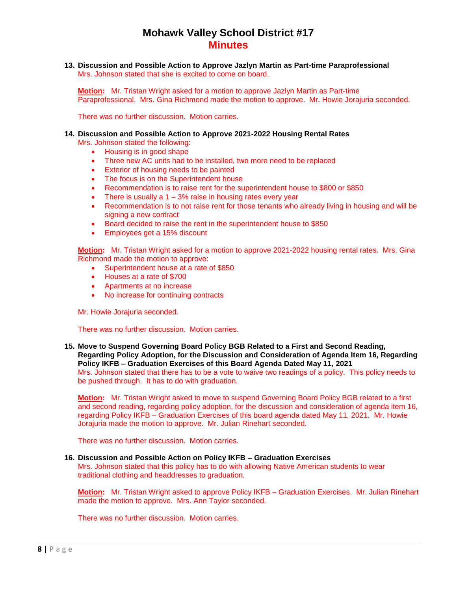**13. Discussion and Possible Action to Approve Jazlyn Martin as Part-time Paraprofessional** Mrs. Johnson stated that she is excited to come on board.

**Motion:** Mr. Tristan Wright asked for a motion to approve Jazlyn Martin as Part-time Paraprofessional. Mrs. Gina Richmond made the motion to approve. Mr. Howie Jorajuria seconded.

There was no further discussion. Motion carries.

#### **14. Discussion and Possible Action to Approve 2021-2022 Housing Rental Rates**

Mrs. Johnson stated the following:

- Housing is in good shape
- Three new AC units had to be installed, two more need to be replaced
- **Exterior of housing needs to be painted**
- The focus is on the Superintendent house
- Recommendation is to raise rent for the superintendent house to \$800 or \$850
- There is usually a  $1 3\%$  raise in housing rates every year
- Recommendation is to not raise rent for those tenants who already living in housing and will be signing a new contract
- Board decided to raise the rent in the superintendent house to \$850
- Employees get a 15% discount

**Motion:** Mr. Tristan Wright asked for a motion to approve 2021-2022 housing rental rates. Mrs. Gina Richmond made the motion to approve:

- Superintendent house at a rate of \$850
- Houses at a rate of \$700
- Apartments at no increase
- No increase for continuing contracts

Mr. Howie Jorajuria seconded.

There was no further discussion. Motion carries.

**15. Move to Suspend Governing Board Policy BGB Related to a First and Second Reading, Regarding Policy Adoption, for the Discussion and Consideration of Agenda Item 16, Regarding Policy IKFB – Graduation Exercises of this Board Agenda Dated May 11, 2021**

Mrs. Johnson stated that there has to be a vote to waive two readings of a policy. This policy needs to be pushed through. It has to do with graduation.

**Motion:** Mr. Tristan Wright asked to move to suspend Governing Board Policy BGB related to a first and second reading, regarding policy adoption, for the discussion and consideration of agenda item 16, regarding Policy IKFB – Graduation Exercises of this board agenda dated May 11, 2021. Mr. Howie Jorajuria made the motion to approve. Mr. Julian Rinehart seconded.

There was no further discussion. Motion carries.

### **16. Discussion and Possible Action on Policy IKFB – Graduation Exercises**

Mrs. Johnson stated that this policy has to do with allowing Native American students to wear traditional clothing and headdresses to graduation.

**Motion:** Mr. Tristan Wright asked to approve Policy IKFB – Graduation Exercises. Mr. Julian Rinehart made the motion to approve. Mrs. Ann Taylor seconded.

There was no further discussion. Motion carries.